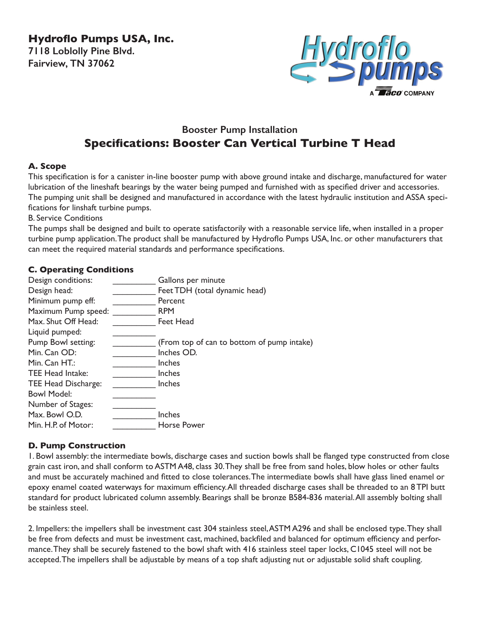**Hydroflo Pumps USA, Inc. 7118 Loblolly Pine Blvd. Fairview, TN 37062**



# **Booster Pump Installation Specifications: Booster Can Vertical Turbine T Head**

### **A. Scope**

This specification is for a canister in-line booster pump with above ground intake and discharge, manufactured for water lubrication of the lineshaft bearings by the water being pumped and furnished with as specified driver and accessories. The pumping unit shall be designed and manufactured in accordance with the latest hydraulic institution and ASSA specifications for linshaft turbine pumps.

B. Service Conditions

The pumps shall be designed and built to operate satisfactorily with a reasonable service life, when installed in a proper turbine pump application. The product shall be manufactured by Hydroflo Pumps USA, Inc. or other manufacturers that can meet the required material standards and performance specifications.

## **C. Operating Conditions**

| Design conditions:      | Gallons per minute                         |
|-------------------------|--------------------------------------------|
| Design head:            | Feet TDH (total dynamic head)              |
| Minimum pump eff:       | Percent                                    |
| Maximum Pump speed:     | <b>RPM</b>                                 |
| Max. Shut Off Head:     | Feet Head                                  |
| Liquid pumped:          |                                            |
| Pump Bowl setting:      | (From top of can to bottom of pump intake) |
| Min. Can OD:            | Inches OD.                                 |
| Min. $Can HT:$          | Inches                                     |
| <b>TEE Head Intake:</b> | Inches                                     |
| TEE Head Discharge:     | Inches                                     |
| <b>Bowl Model:</b>      |                                            |
| Number of Stages:       |                                            |
| Max. Bowl O.D.          | Inches                                     |
| Min. H.P. of Motor:     | Horse Power                                |
|                         |                                            |

## **D. Pump Construction**

1. Bowl assembly: the intermediate bowls, discharge cases and suction bowls shall be flanged type constructed from close grain cast iron, and shall conform to ASTM A48, class 30. They shall be free from sand holes, blow holes or other faults and must be accurately machined and fitted to close tolerances. The intermediate bowls shall have glass lined enamel or epoxy enamel coated waterways for maximum efficiency. All threaded discharge cases shall be threaded to an 8 TPI butt standard for product lubricated column assembly. Bearings shall be bronze B584-836 material. All assembly bolting shall be stainless steel.

2. Impellers: the impellers shall be investment cast 304 stainless steel, ASTM A296 and shall be enclosed type. They shall be free from defects and must be investment cast, machined, backfiled and balanced for optimum efficiency and performance. They shall be securely fastened to the bowl shaft with 416 stainless steel taper locks, C1045 steel will not be accepted. The impellers shall be adjustable by means of a top shaft adjusting nut or adjustable solid shaft coupling.